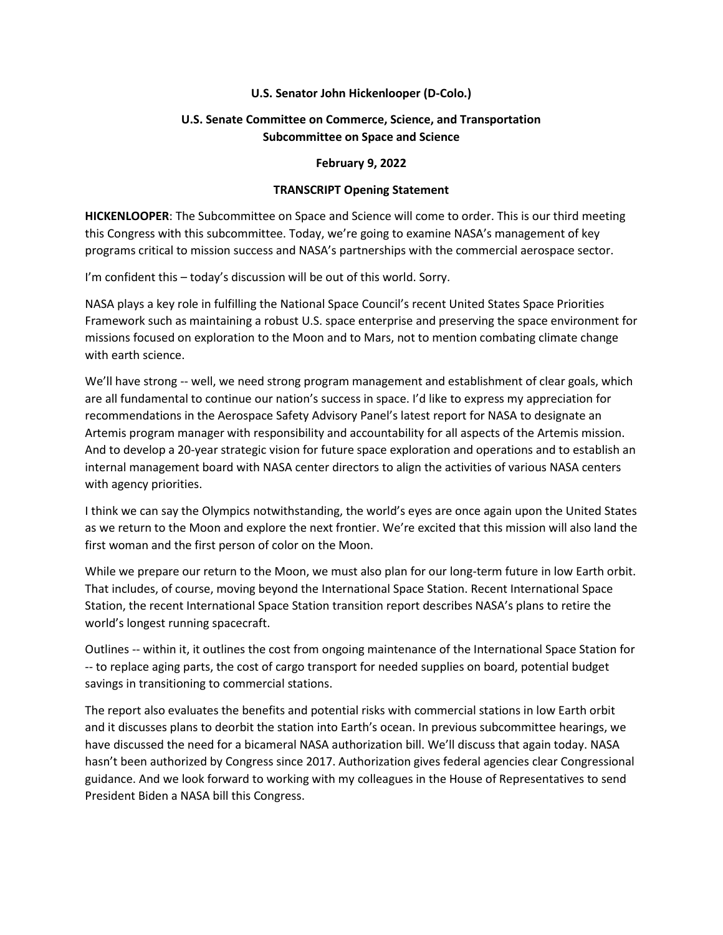## **U.S. Senator John Hickenlooper (D-Colo.)**

## **U.S. Senate Committee on Commerce, Science, and Transportation Subcommittee on Space and Science**

## **February 9, 2022**

## **TRANSCRIPT Opening Statement**

**HICKENLOOPER**: The Subcommittee on Space and Science will come to order. This is our third meeting this Congress with this subcommittee. Today, we're going to examine NASA's management of key programs critical to mission success and NASA's partnerships with the commercial aerospace sector.

I'm confident this – today's discussion will be out of this world. Sorry.

NASA plays a key role in fulfilling the National Space Council's recent United States Space Priorities Framework such as maintaining a robust U.S. space enterprise and preserving the space environment for missions focused on exploration to the Moon and to Mars, not to mention combating climate change with earth science.

We'll have strong -- well, we need strong program management and establishment of clear goals, which are all fundamental to continue our nation's success in space. I'd like to express my appreciation for recommendations in the Aerospace Safety Advisory Panel's latest report for NASA to designate an Artemis program manager with responsibility and accountability for all aspects of the Artemis mission. And to develop a 20-year strategic vision for future space exploration and operations and to establish an internal management board with NASA center directors to align the activities of various NASA centers with agency priorities.

I think we can say the Olympics notwithstanding, the world's eyes are once again upon the United States as we return to the Moon and explore the next frontier. We're excited that this mission will also land the first woman and the first person of color on the Moon.

While we prepare our return to the Moon, we must also plan for our long-term future in low Earth orbit. That includes, of course, moving beyond the International Space Station. Recent International Space Station, the recent International Space Station transition report describes NASA's plans to retire the world's longest running spacecraft.

Outlines -- within it, it outlines the cost from ongoing maintenance of the International Space Station for -- to replace aging parts, the cost of cargo transport for needed supplies on board, potential budget savings in transitioning to commercial stations.

The report also evaluates the benefits and potential risks with commercial stations in low Earth orbit and it discusses plans to deorbit the station into Earth's ocean. In previous subcommittee hearings, we have discussed the need for a bicameral NASA authorization bill. We'll discuss that again today. NASA hasn't been authorized by Congress since 2017. Authorization gives federal agencies clear Congressional guidance. And we look forward to working with my colleagues in the House of Representatives to send President Biden a NASA bill this Congress.